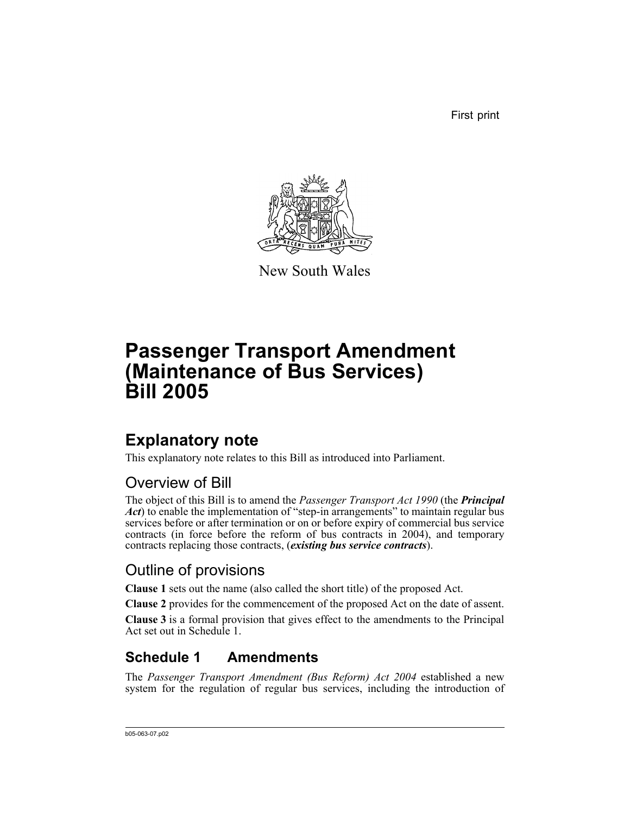First print



New South Wales

# **Passenger Transport Amendment (Maintenance of Bus Services) Bill 2005**

## **Explanatory note**

This explanatory note relates to this Bill as introduced into Parliament.

## Overview of Bill

The object of this Bill is to amend the *Passenger Transport Act 1990* (the *Principal Act*) to enable the implementation of "step-in arrangements" to maintain regular bus services before or after termination or on or before expiry of commercial bus service contracts (in force before the reform of bus contracts in 2004), and temporary contracts replacing those contracts, (*existing bus service contracts*).

## Outline of provisions

**Clause 1** sets out the name (also called the short title) of the proposed Act.

**Clause 2** provides for the commencement of the proposed Act on the date of assent.

**Clause 3** is a formal provision that gives effect to the amendments to the Principal Act set out in Schedule 1.

## **Schedule 1 Amendments**

The *Passenger Transport Amendment (Bus Reform) Act 2004* established a new system for the regulation of regular bus services, including the introduction of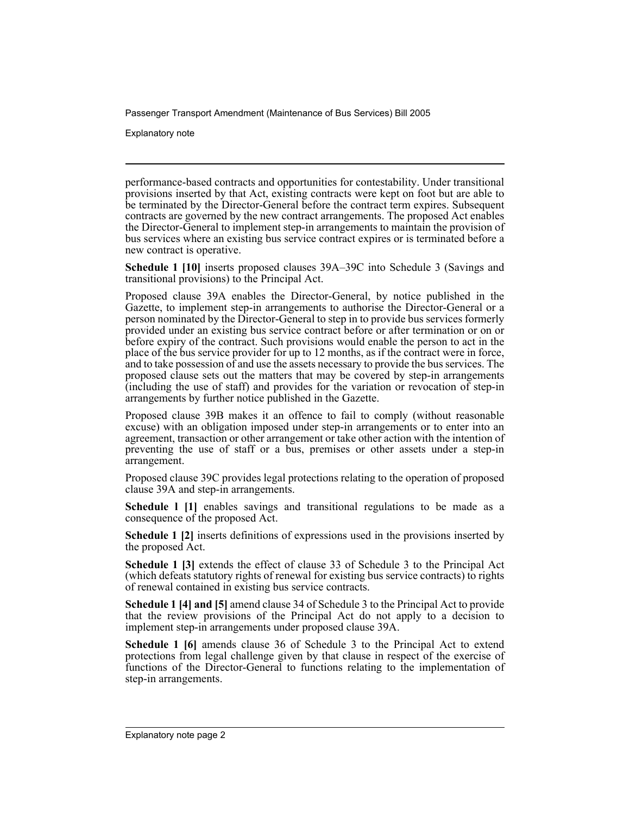Explanatory note

performance-based contracts and opportunities for contestability. Under transitional provisions inserted by that Act, existing contracts were kept on foot but are able to be terminated by the Director-General before the contract term expires. Subsequent contracts are governed by the new contract arrangements. The proposed Act enables the Director-General to implement step-in arrangements to maintain the provision of bus services where an existing bus service contract expires or is terminated before a new contract is operative.

**Schedule 1 [10]** inserts proposed clauses 39A–39C into Schedule 3 (Savings and transitional provisions) to the Principal Act.

Proposed clause 39A enables the Director-General, by notice published in the Gazette, to implement step-in arrangements to authorise the Director-General or a person nominated by the Director-General to step in to provide bus services formerly provided under an existing bus service contract before or after termination or on or before expiry of the contract. Such provisions would enable the person to act in the place of the bus service provider for up to 12 months, as if the contract were in force, and to take possession of and use the assets necessary to provide the bus services. The proposed clause sets out the matters that may be covered by step-in arrangements (including the use of staff) and provides for the variation or revocation of step-in arrangements by further notice published in the Gazette.

Proposed clause 39B makes it an offence to fail to comply (without reasonable excuse) with an obligation imposed under step-in arrangements or to enter into an agreement, transaction or other arrangement or take other action with the intention of preventing the use of staff or a bus, premises or other assets under a step-in arrangement.

Proposed clause 39C provides legal protections relating to the operation of proposed clause 39A and step-in arrangements.

**Schedule 1** [1] enables savings and transitional regulations to be made as a consequence of the proposed Act.

**Schedule 1 [2]** inserts definitions of expressions used in the provisions inserted by the proposed Act.

**Schedule 1 [3]** extends the effect of clause 33 of Schedule 3 to the Principal Act (which defeats statutory rights of renewal for existing bus service contracts) to rights of renewal contained in existing bus service contracts.

**Schedule 1 [4] and [5]** amend clause 34 of Schedule 3 to the Principal Act to provide that the review provisions of the Principal Act do not apply to a decision to implement step-in arrangements under proposed clause 39A.

**Schedule 1 [6]** amends clause 36 of Schedule 3 to the Principal Act to extend protections from legal challenge given by that clause in respect of the exercise of functions of the Director-General to functions relating to the implementation of step-in arrangements.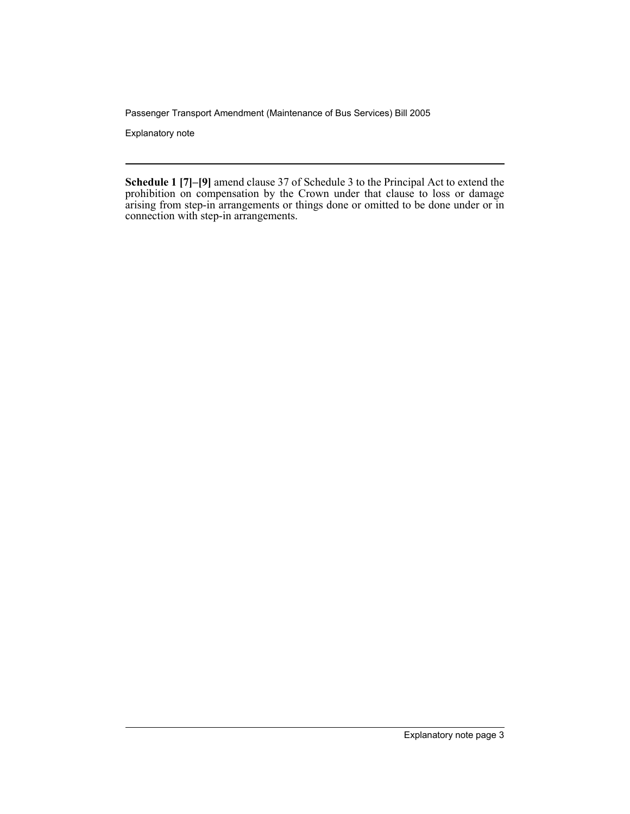Explanatory note

**Schedule 1 [7]–[9]** amend clause 37 of Schedule 3 to the Principal Act to extend the prohibition on compensation by the Crown under that clause to loss or damage arising from step-in arrangements or things done or omitted to be done under or in connection with step-in arrangements.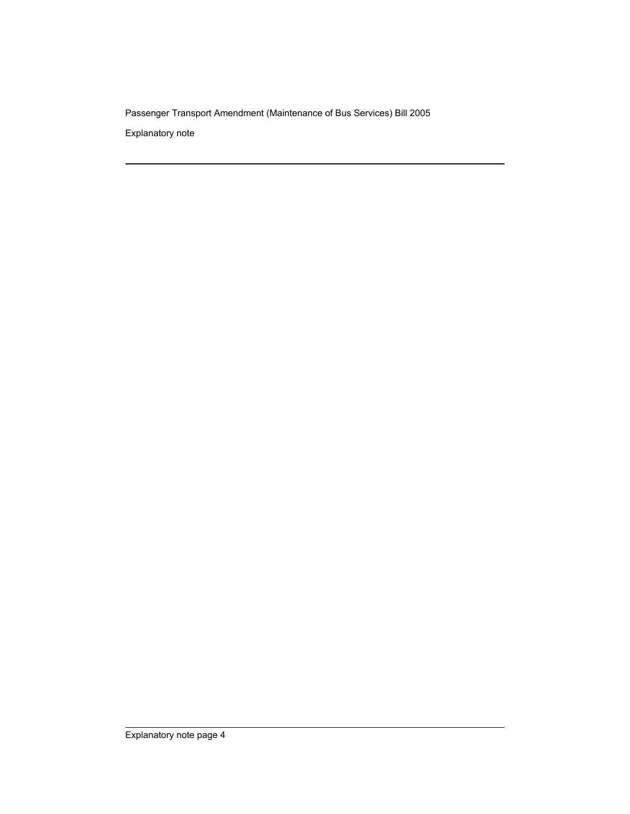Passenger Transport Amendment (Maintenance of Bus Services) Bill 2005 Explanatory note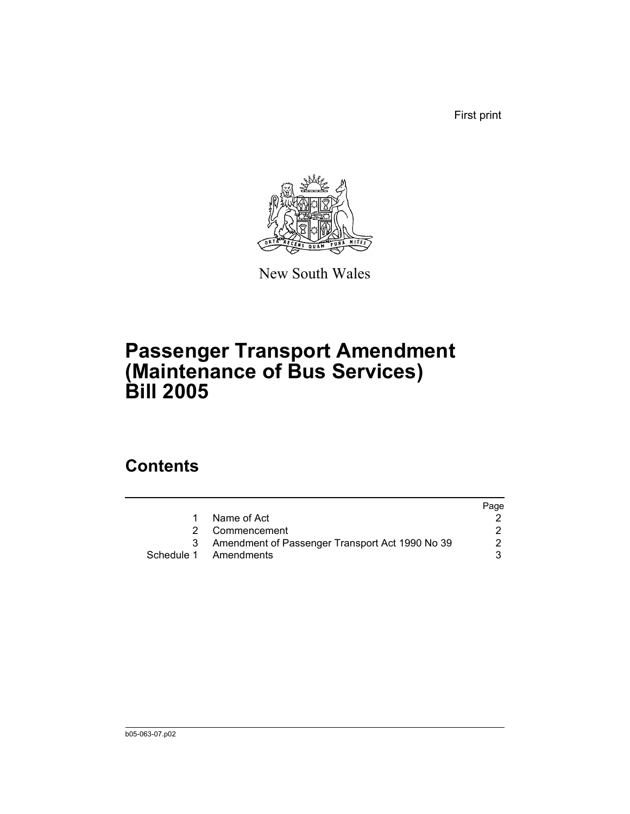First print



New South Wales

## **Passenger Transport Amendment (Maintenance of Bus Services) Bill 2005**

## **Contents**

|                                                 | Page |
|-------------------------------------------------|------|
| Name of Act                                     |      |
| 2 Commencement                                  |      |
| Amendment of Passenger Transport Act 1990 No 39 |      |
| Schedule 1 Amendments                           |      |
|                                                 |      |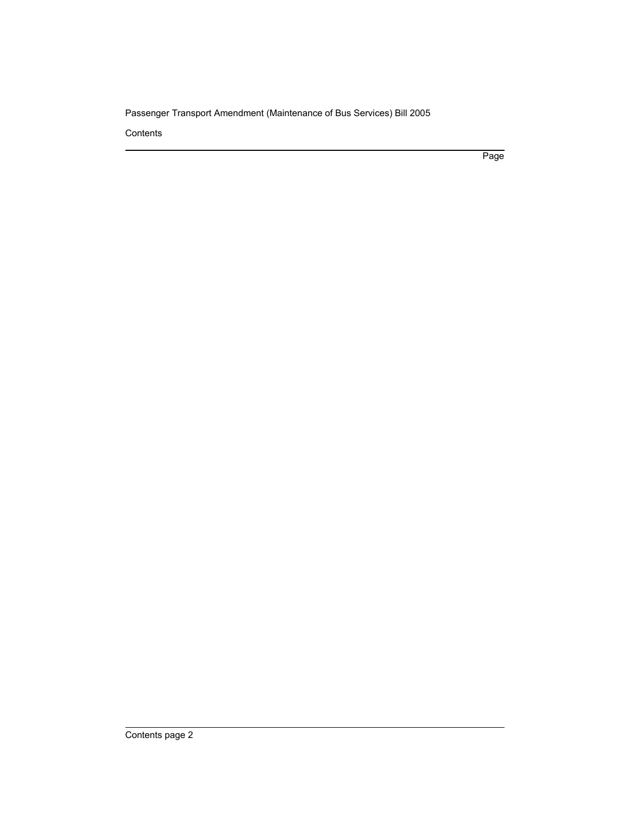**Contents** 

Page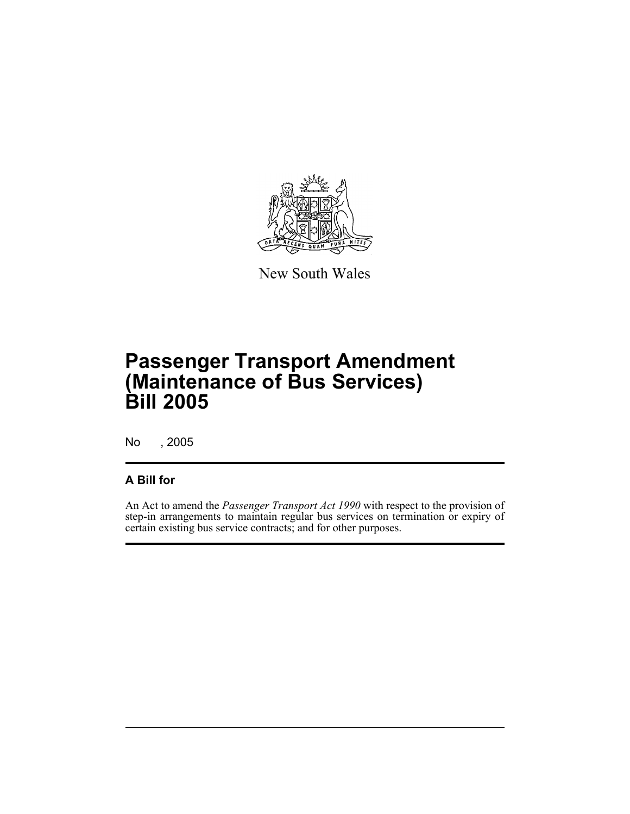

New South Wales

# **Passenger Transport Amendment (Maintenance of Bus Services) Bill 2005**

No , 2005

#### **A Bill for**

An Act to amend the *Passenger Transport Act 1990* with respect to the provision of step-in arrangements to maintain regular bus services on termination or expiry of certain existing bus service contracts; and for other purposes.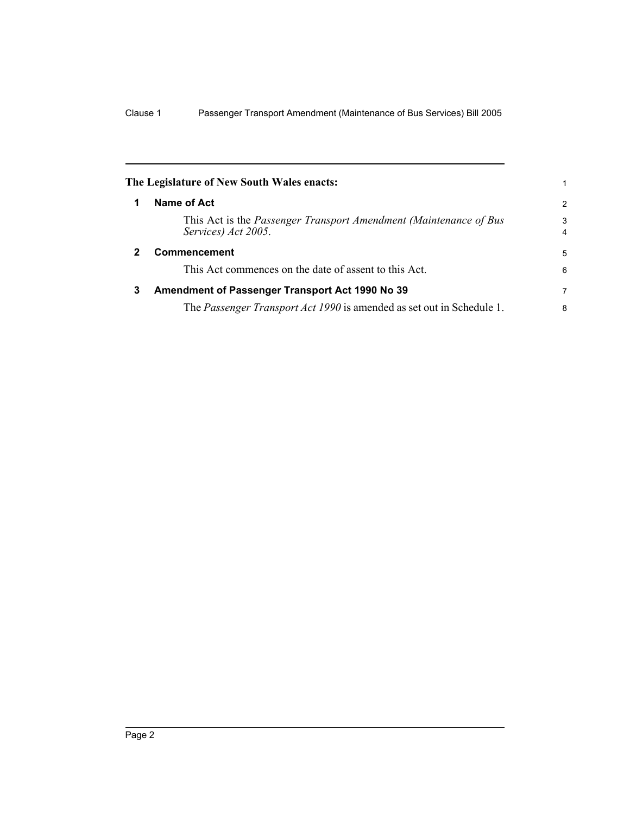<span id="page-7-1"></span><span id="page-7-0"></span>

| The Legislature of New South Wales enacts: |                                                                                          |                     |
|--------------------------------------------|------------------------------------------------------------------------------------------|---------------------|
| 1                                          | Name of Act                                                                              | 2                   |
|                                            | This Act is the Passenger Transport Amendment (Maintenance of Bus<br>Services) Act 2005. | 3<br>$\overline{4}$ |
| 2                                          | <b>Commencement</b>                                                                      | 5                   |
|                                            | This Act commences on the date of assent to this Act.                                    | 6                   |
| 3                                          | Amendment of Passenger Transport Act 1990 No 39                                          | 7                   |
|                                            | The <i>Passenger Transport Act 1990</i> is amended as set out in Schedule 1.             | 8                   |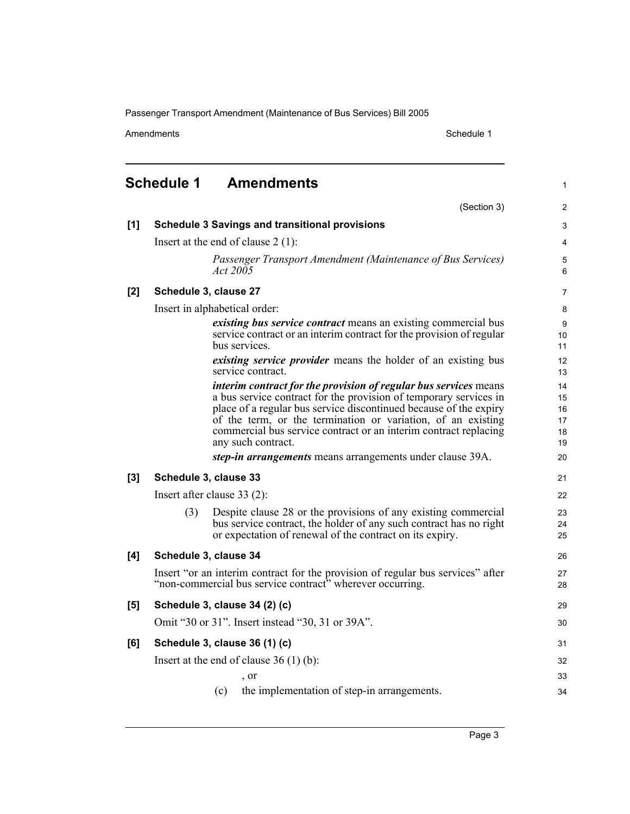Amendments Schedule 1

1

### <span id="page-8-0"></span>**Schedule 1 Amendments**

|       | (Section 3)                                                                                                                                                                                                                                                                                                                                                          | $\overline{2}$                   |  |  |
|-------|----------------------------------------------------------------------------------------------------------------------------------------------------------------------------------------------------------------------------------------------------------------------------------------------------------------------------------------------------------------------|----------------------------------|--|--|
| [1]   | <b>Schedule 3 Savings and transitional provisions</b>                                                                                                                                                                                                                                                                                                                |                                  |  |  |
|       | Insert at the end of clause $2(1)$ :                                                                                                                                                                                                                                                                                                                                 |                                  |  |  |
|       | Passenger Transport Amendment (Maintenance of Bus Services)<br>Act 2005                                                                                                                                                                                                                                                                                              | 5<br>6                           |  |  |
| $[2]$ | Schedule 3, clause 27                                                                                                                                                                                                                                                                                                                                                |                                  |  |  |
|       | Insert in alphabetical order:                                                                                                                                                                                                                                                                                                                                        |                                  |  |  |
|       | existing bus service contract means an existing commercial bus<br>service contract or an interim contract for the provision of regular<br>bus services.                                                                                                                                                                                                              | 9<br>10<br>11                    |  |  |
|       | existing service provider means the holder of an existing bus<br>service contract.                                                                                                                                                                                                                                                                                   | 12<br>13                         |  |  |
|       | interim contract for the provision of regular bus services means<br>a bus service contract for the provision of temporary services in<br>place of a regular bus service discontinued because of the expiry<br>of the term, or the termination or variation, of an existing<br>commercial bus service contract or an interim contract replacing<br>any such contract. | 14<br>15<br>16<br>17<br>18<br>19 |  |  |
|       | step-in arrangements means arrangements under clause 39A.                                                                                                                                                                                                                                                                                                            | 20                               |  |  |
| $[3]$ | Schedule 3, clause 33                                                                                                                                                                                                                                                                                                                                                |                                  |  |  |
|       | Insert after clause $33(2)$ :                                                                                                                                                                                                                                                                                                                                        |                                  |  |  |
|       | Despite clause 28 or the provisions of any existing commercial<br>(3)<br>bus service contract, the holder of any such contract has no right<br>or expectation of renewal of the contract on its expiry.                                                                                                                                                              | 23<br>24<br>25                   |  |  |
| [4]   | Schedule 3, clause 34                                                                                                                                                                                                                                                                                                                                                | 26                               |  |  |
|       | Insert "or an interim contract for the provision of regular bus services" after<br>"non-commercial bus service contract" wherever occurring.                                                                                                                                                                                                                         |                                  |  |  |
| [5]   | Schedule 3, clause 34 (2) (c)                                                                                                                                                                                                                                                                                                                                        |                                  |  |  |
|       | Omit "30 or 31". Insert instead "30, 31 or 39A".                                                                                                                                                                                                                                                                                                                     |                                  |  |  |
| [6]   | Schedule 3, clause 36 (1) (c)                                                                                                                                                                                                                                                                                                                                        |                                  |  |  |
|       | Insert at the end of clause $36(1)(b)$ :                                                                                                                                                                                                                                                                                                                             |                                  |  |  |
|       | , or                                                                                                                                                                                                                                                                                                                                                                 | 33                               |  |  |
|       | the implementation of step-in arrangements.<br>(c)                                                                                                                                                                                                                                                                                                                   | 34                               |  |  |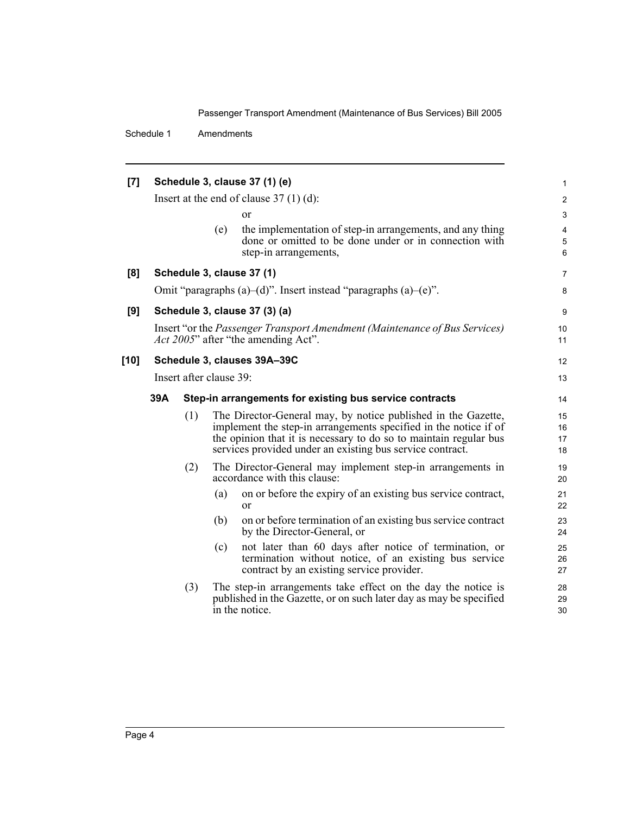Schedule 1 Amendments

| $[7]$ | Schedule 3, clause 37 (1) (e)                                                                                     |     |     |                                                                                                                                                                                                                                                                     |                           |  |
|-------|-------------------------------------------------------------------------------------------------------------------|-----|-----|---------------------------------------------------------------------------------------------------------------------------------------------------------------------------------------------------------------------------------------------------------------------|---------------------------|--|
|       | Insert at the end of clause $37(1)(d)$ :                                                                          |     |     |                                                                                                                                                                                                                                                                     |                           |  |
|       |                                                                                                                   |     |     | <sub>or</sub>                                                                                                                                                                                                                                                       | $\ensuremath{\mathsf{3}}$ |  |
|       |                                                                                                                   |     | (e) | the implementation of step-in arrangements, and any thing<br>done or omitted to be done under or in connection with<br>step-in arrangements,                                                                                                                        | $\overline{4}$<br>5<br>6  |  |
| [8]   | Schedule 3, clause 37 (1)                                                                                         |     |     |                                                                                                                                                                                                                                                                     |                           |  |
|       | Omit "paragraphs (a)–(d)". Insert instead "paragraphs (a)–(e)".                                                   |     |     |                                                                                                                                                                                                                                                                     |                           |  |
| [9]   | Schedule 3, clause 37 (3) (a)                                                                                     |     |     |                                                                                                                                                                                                                                                                     |                           |  |
|       | Insert "or the Passenger Transport Amendment (Maintenance of Bus Services)<br>Act 2005" after "the amending Act". |     |     |                                                                                                                                                                                                                                                                     |                           |  |
| [10]  | Schedule 3, clauses 39A-39C                                                                                       |     |     |                                                                                                                                                                                                                                                                     | 12                        |  |
|       | Insert after clause 39:                                                                                           |     |     |                                                                                                                                                                                                                                                                     | 13                        |  |
|       | 39A                                                                                                               |     |     | Step-in arrangements for existing bus service contracts                                                                                                                                                                                                             | 14                        |  |
|       |                                                                                                                   | (1) |     | The Director-General may, by notice published in the Gazette,<br>implement the step-in arrangements specified in the notice if of<br>the opinion that it is necessary to do so to maintain regular bus<br>services provided under an existing bus service contract. | 15<br>16<br>17<br>18      |  |
|       |                                                                                                                   | (2) |     | The Director-General may implement step-in arrangements in<br>accordance with this clause:                                                                                                                                                                          | 19<br>20                  |  |
|       |                                                                                                                   |     | (a) | on or before the expiry of an existing bus service contract,<br><sub>or</sub>                                                                                                                                                                                       | 21<br>22                  |  |
|       |                                                                                                                   |     | (b) | on or before termination of an existing bus service contract<br>by the Director-General, or                                                                                                                                                                         | 23<br>24                  |  |
|       |                                                                                                                   |     | (c) | not later than 60 days after notice of termination, or<br>termination without notice, of an existing bus service<br>contract by an existing service provider.                                                                                                       | 25<br>26<br>27            |  |
|       |                                                                                                                   | (3) |     | The step-in arrangements take effect on the day the notice is<br>published in the Gazette, or on such later day as may be specified<br>in the notice.                                                                                                               | 28<br>29<br>30            |  |
|       |                                                                                                                   |     |     |                                                                                                                                                                                                                                                                     |                           |  |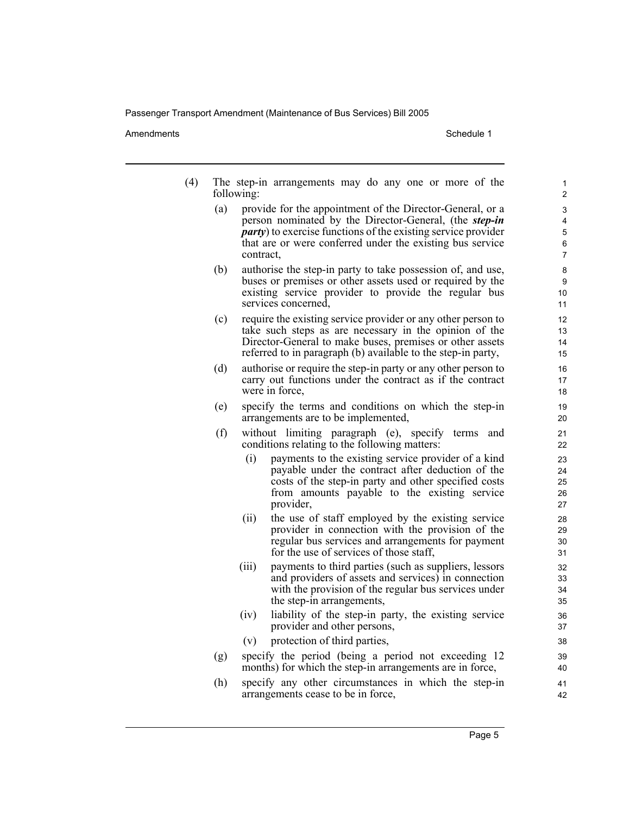contract,

Amendments **Amendments** Schedule 1

- (4) The step-in arrangements may do any one or more of the following: (a) provide for the appointment of the Director-General, or a person nominated by the Director-General, (the *step-in party*) to exercise functions of the existing service provider that are or were conferred under the existing bus service
	- (b) authorise the step-in party to take possession of, and use, buses or premises or other assets used or required by the existing service provider to provide the regular bus services concerned,
	- (c) require the existing service provider or any other person to take such steps as are necessary in the opinion of the Director-General to make buses, premises or other assets referred to in paragraph (b) available to the step-in party,
	- (d) authorise or require the step-in party or any other person to carry out functions under the contract as if the contract were in force,
	- (e) specify the terms and conditions on which the step-in arrangements are to be implemented,
	- (f) without limiting paragraph (e), specify terms and conditions relating to the following matters:
		- (i) payments to the existing service provider of a kind payable under the contract after deduction of the costs of the step-in party and other specified costs from amounts payable to the existing service provider,
		- (ii) the use of staff employed by the existing service provider in connection with the provision of the regular bus services and arrangements for payment for the use of services of those staff,
		- (iii) payments to third parties (such as suppliers, lessors and providers of assets and services) in connection with the provision of the regular bus services under the step-in arrangements,
		- (iv) liability of the step-in party, the existing service provider and other persons,
		- (v) protection of third parties,
	- (g) specify the period (being a period not exceeding 12 months) for which the step-in arrangements are in force,
	- (h) specify any other circumstances in which the step-in arrangements cease to be in force,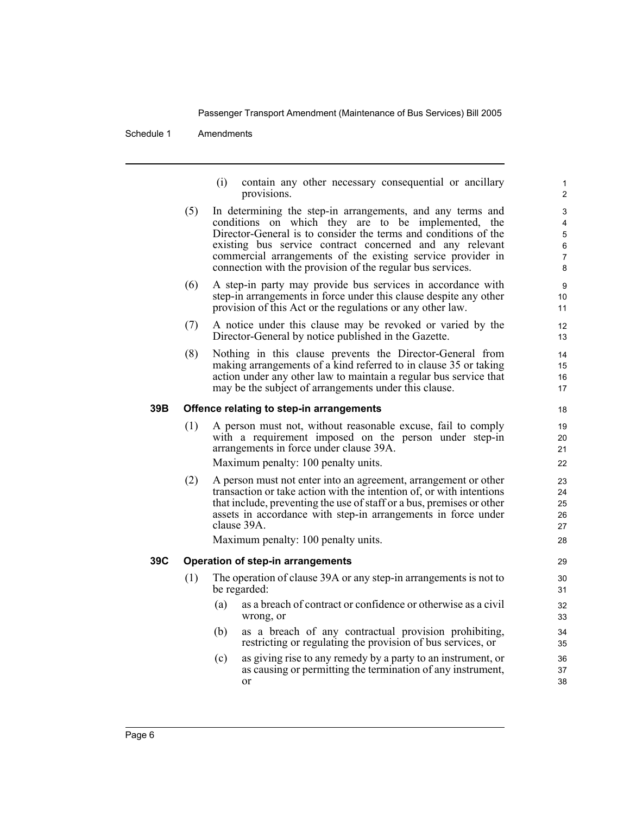#### Schedule 1 Amendments

(i) contain any other necessary consequential or ancillary provisions.

- (5) In determining the step-in arrangements, and any terms and conditions on which they are to be implemented, the Director-General is to consider the terms and conditions of the existing bus service contract concerned and any relevant commercial arrangements of the existing service provider in connection with the provision of the regular bus services.
- (6) A step-in party may provide bus services in accordance with step-in arrangements in force under this clause despite any other provision of this Act or the regulations or any other law.
- (7) A notice under this clause may be revoked or varied by the Director-General by notice published in the Gazette.
- (8) Nothing in this clause prevents the Director-General from making arrangements of a kind referred to in clause 35 or taking action under any other law to maintain a regular bus service that may be the subject of arrangements under this clause.

#### **39B Offence relating to step-in arrangements**

(1) A person must not, without reasonable excuse, fail to comply with a requirement imposed on the person under step-in arrangements in force under clause 39A.

Maximum penalty: 100 penalty units.

(2) A person must not enter into an agreement, arrangement or other transaction or take action with the intention of, or with intentions that include, preventing the use of staff or a bus, premises or other assets in accordance with step-in arrangements in force under clause 39A.

Maximum penalty: 100 penalty units.

#### **39C Operation of step-in arrangements**

- (1) The operation of clause 39A or any step-in arrangements is not to be regarded:
	- (a) as a breach of contract or confidence or otherwise as a civil wrong, or
	- (b) as a breach of any contractual provision prohibiting, restricting or regulating the provision of bus services, or
	- (c) as giving rise to any remedy by a party to an instrument, or as causing or permitting the termination of any instrument, or